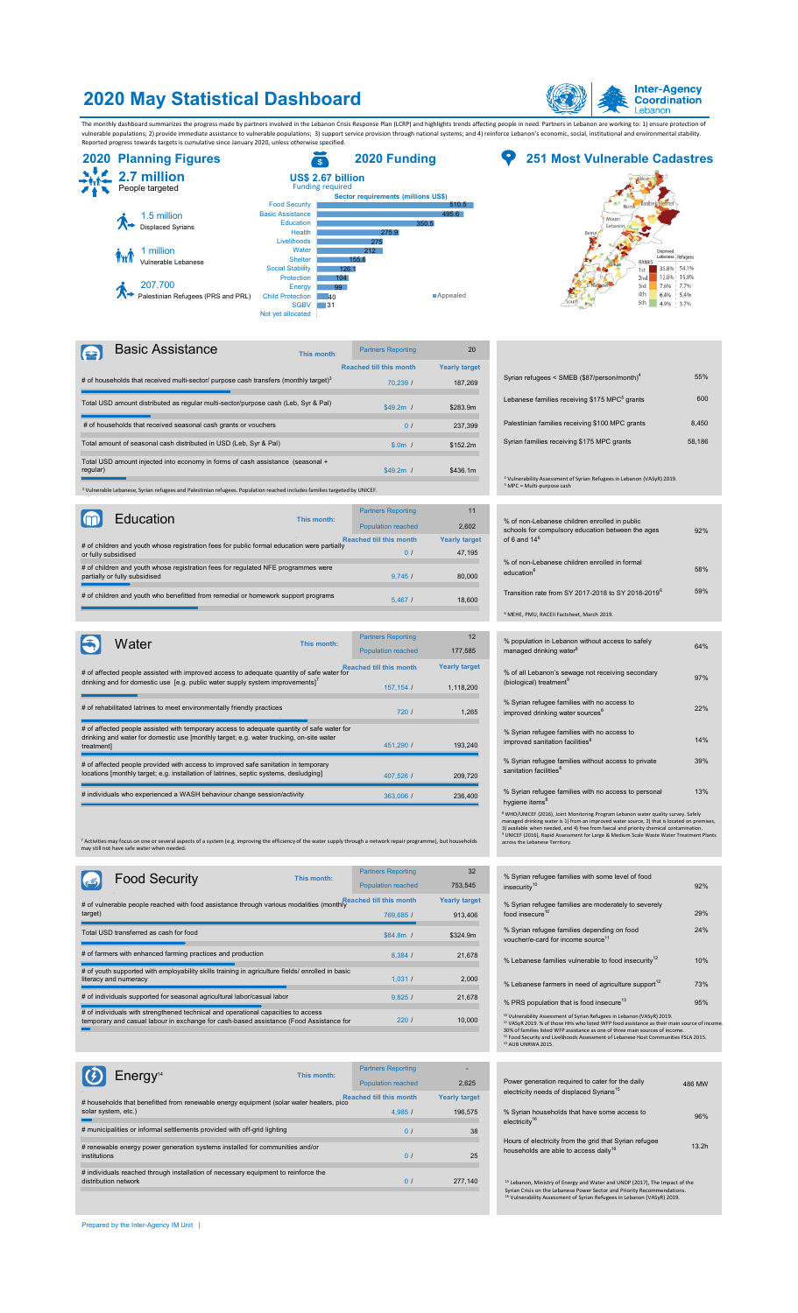## **2020 May Statistical Dashboard**



The monthly dashboard summarizes the progress made by partners involved in the Lebanon Crisis Response Plan (LCRP) and highlights trends affecting people in need. Partners in Lebanon are working to: 1) ensure protection of





| Basic Assistance                                                                                                                     | This month: | <b>Partners Reporting</b>      | 20                   |
|--------------------------------------------------------------------------------------------------------------------------------------|-------------|--------------------------------|----------------------|
|                                                                                                                                      |             | <b>Reached till this month</b> | <b>Yearly target</b> |
| # of households that received multi-sector/ purpose cash transfers (monthly target) <sup>3</sup>                                     |             | 70.239 /                       | 187.269              |
| Total USD amount distributed as regular multi-sector/purpose cash (Leb, Syr & Pal)                                                   |             | $$49.2m$ /                     | \$283.9m             |
| # of households that received seasonal cash grants or vouchers                                                                       |             | $\Omega$ /                     | 237.399              |
| Total amount of seasonal cash distributed in USD (Leb, Syr & Pal)                                                                    |             | $$.0m$ /                       | \$152.2m             |
| Total USD amount injected into economy in forms of cash assistance (seasonal +<br>regular)                                           |             | $$49.2m$ /                     | \$436.1m             |
| <sup>3</sup> Vulnerable Lebanese, Syrian refugees and Palestinian refugees. Population reached includes families targeted by UNICEF. |             |                                |                      |

| Education                                                                                                          | This month: | <b>Partners Reporting</b><br><b>Population reached</b> | 11<br>2.602                    |
|--------------------------------------------------------------------------------------------------------------------|-------------|--------------------------------------------------------|--------------------------------|
| # of children and youth whose registration fees for public formal education were partially<br>or fully subsidised  |             | <b>Reached till this month</b><br>$\Omega$             | <b>Yearly target</b><br>47.195 |
| # of children and youth whose registration fees for regulated NFE programmes were<br>partially or fully subsidised |             | 9.745/                                                 | 80,000                         |
| # of children and youth who benefitted from remedial or homework support programs                                  |             | 5.4671                                                 | 18,600                         |

| Water      |                                                                                                                                                                                       | This month: | <b>Partners Reporting</b>      | 12                   |
|------------|---------------------------------------------------------------------------------------------------------------------------------------------------------------------------------------|-------------|--------------------------------|----------------------|
|            |                                                                                                                                                                                       |             | <b>Population reached</b>      | 177.585              |
|            | # of affected people assisted with improved access to adequate quantity of safe water for                                                                                             |             | <b>Reached till this month</b> | <b>Yearly target</b> |
|            | drinking and for domestic use [e.g. public water supply system improvements] <sup>7</sup>                                                                                             |             | 157, 154 /                     | 1,118,200            |
|            |                                                                                                                                                                                       |             |                                |                      |
|            | # of rehabilitated latrines to meet environmentally friendly practices                                                                                                                |             | 7201                           | 1.265                |
|            | # of affected people assisted with temporary access to adequate quantity of safe water for<br>drinking and water for domestic use [monthly target; e.g. water trucking, on-site water |             |                                |                      |
| treatmentl |                                                                                                                                                                                       |             | 451.290 /                      | 193.240              |
|            | # of affected people provided with access to improved safe sanitation in temporary                                                                                                    |             |                                |                      |
|            | locations [monthly target; e.g. installation of latrines, septic systems, desludging]                                                                                                 |             | 407.526 /                      | 209,720              |
|            | # individuals who experienced a WASH behaviour change session/activity                                                                                                                |             | 363,006 /                      | 236,400              |

<sup>7</sup> Activities may focus on one or several aspects of a system (e.g. improving the efficiency of the water supply through a network repair programme), but households<br>may still not have safe water when needed.

|         | <b>Food Security</b>                                                                                                                                                        | This month: | <b>Partners Reporting</b> | 32                   |
|---------|-----------------------------------------------------------------------------------------------------------------------------------------------------------------------------|-------------|---------------------------|----------------------|
|         |                                                                                                                                                                             |             | <b>Population reached</b> | 753,545              |
|         |                                                                                                                                                                             |             |                           | <b>Yearly target</b> |
| target) |                                                                                                                                                                             |             | 769,685 /                 | 913,406              |
|         | Total USD transferred as cash for food                                                                                                                                      |             | $$84.8m$ /                | \$324.9m             |
|         |                                                                                                                                                                             |             |                           |                      |
|         | # of farmers with enhanced farming practices and production                                                                                                                 |             | 8.384/                    | 21,678               |
|         | # of youth supported with employability skills training in agriculture fields/ enrolled in basic                                                                            |             |                           |                      |
|         | literacy and numeracy                                                                                                                                                       |             | 1.031 /                   | 2.000                |
|         | # of individuals supported for seasonal agricultural labor/casual labor                                                                                                     |             | 9.825/                    | 21,678               |
|         |                                                                                                                                                                             |             |                           |                      |
|         | # of individuals with strengthened technical and operational capacities to access<br>temporary and casual labour in exchange for cash-based assistance (Food Assistance for |             | 220l                      | 10,000               |
|         |                                                                                                                                                                             |             |                           |                      |

| Energy <sup>14</sup>                                                                    | This month: | <b>Partners Reporting</b>      |                      |
|-----------------------------------------------------------------------------------------|-------------|--------------------------------|----------------------|
|                                                                                         |             | <b>Population reached</b>      | 2.625                |
| # households that benefitted from renewable energy equipment (solar water heaters, pico |             | <b>Reached till this month</b> | <b>Yearly target</b> |
| solar system, etc.)                                                                     |             | 4.985/                         | 196,575              |
|                                                                                         |             |                                |                      |
| # municipalities or informal settlements provided with off-grid lighting                |             | $\Omega$                       | 38                   |
|                                                                                         |             |                                |                      |
| # renewable energy power generation systems installed for communities and/or            |             |                                |                      |
| institutions                                                                            |             | 0 <sub>l</sub>                 | 25                   |
|                                                                                         |             |                                |                      |
| # individuals reached through installation of necessary equipment to reinforce the      |             |                                |                      |
| distribution network                                                                    |             | $\Omega$ /                     | 277.140              |
|                                                                                         |             |                                |                      |
|                                                                                         |             |                                |                      |
|                                                                                         |             |                                |                      |

|  |  |  | Prepared by the Inter-Agency IM Unit |  |  |  |
|--|--|--|--------------------------------------|--|--|--|
|--|--|--|--------------------------------------|--|--|--|

| וטווטוונו כו |                      |                                                                                                                            |        |  |
|--------------|----------------------|----------------------------------------------------------------------------------------------------------------------------|--------|--|
| 70,239 /     | 187,269              | Syrian refugees < SMEB (\$87/person/month) <sup>4</sup>                                                                    | 55%    |  |
| 49.2m /      | \$283.9m             | Lebanese families receiving \$175 MPC <sup>5</sup> grants                                                                  | 600    |  |
| 0/           | 237,399              | Palestinian families receiving \$100 MPC grants                                                                            | 8,450  |  |
| $$.0m$ /     | \$152.2m             | Syrian families receiving \$175 MPC grants                                                                                 | 58,186 |  |
| 49.2m /      | \$436.1m             | <sup>4</sup> Vulnerability Assessment of Syrian Refugees in Lebanon (VASyR) 2019.<br><sup>5</sup> MPC = Multi-purpose cash |        |  |
| Reporting    | 11                   |                                                                                                                            |        |  |
| n reached    | 2,602                | % of non-Lebanese children enrolled in public                                                                              |        |  |
| is month     | <b>Yearly target</b> | schools for compulsory education between the ages<br>of 6 and $146$                                                        | 92%    |  |
| 0/           | 47,195               |                                                                                                                            |        |  |
|              |                      | % of non-Lebanese children enrolled in formal                                                                              | 58%    |  |
| 9,745/       | 80,000               | education <sup>6</sup>                                                                                                     |        |  |
| 5,4671       | 18,600               | Transition rate from SY 2017-2018 to SY 2018-2019 <sup>6</sup>                                                             | 59%    |  |
|              |                      | <sup>6</sup> MEHE, PMU, RACEII Factsheet, March 2019.                                                                      |        |  |
| Reporting    | 12                   |                                                                                                                            |        |  |
| n reached    | 177,585              | % population in Lebanon without access to safely<br>managed drinking water <sup>8</sup>                                    | 64%    |  |
| is month     | <b>Yearly target</b> |                                                                                                                            |        |  |
|              |                      | % of all Lebanon's sewage not receiving secondary<br>(biological) treatment <sup>9</sup>                                   | 97%    |  |
| 57,154 /     | 1,118,200            |                                                                                                                            |        |  |
| 720/         | 1,265                | % Syrian refugee families with no access to<br>improved drinking water sources <sup>8</sup>                                | 22%    |  |
| 51.290 /     | 193,240              | % Syrian refugee families with no access to<br>improved sanitation facilities <sup>8</sup>                                 | 14%    |  |
|              |                      | % Syrian refugee families without access to private                                                                        | 39%    |  |
| 07,526 /     | 209,720              | sanitation facilities <sup>8</sup>                                                                                         |        |  |
| 63,006 /     | 236,400              | % Syrian refugee families with no access to personal<br>hygiene items <sup>8</sup>                                         | 13%    |  |
|              |                      |                                                                                                                            |        |  |

Population reached 753,545 insecurity<sup>10</sup> and the context of the security<sup>10</sup> ms month is tearly target the Syrian refugee families are moderately to severely<br>769,685 / 913,406 food insecure<sup>10</sup> 24% % Lebanese families vulnerable to food insecurity $12$  10% 95% % Syrian refugee families depending on food<br>voucher/e-card for income source<sup>11</sup>  $%$  PRS population that is food insecure<sup>13</sup> % Lebanese farmers in need of agriculture support $^{12}$   $3\%$ % Syrian refugee families with some level of food <sup>12</sup> Vulnerability Assessment of Syrian Refugees in Lebanon (VAS/P), 2019.<br><sup>11</sup> VAS/R 2019. % of those HHs who listed WFP food assistance as their main source of income.<br>30% of families listed WFP assistance as one of thre

<sup>8</sup> Who()UNICEF (2016), Joint Monitoring Program Lebanon water quality survey. Safely<br>managed drinking water is 1) from an improved water source, 2) that is located on premises,<br>3) available when needed, and 4) free from f

|                   |                                                                                                             |                      | Felluleis Repollului      |
|-------------------|-------------------------------------------------------------------------------------------------------------|----------------------|---------------------------|
| 486 MW            | Power generation required to cater for the daily                                                            | 2.625                | <b>Population reached</b> |
|                   | electricity needs of displaced Syrians <sup>15</sup>                                                        | <b>Yearly target</b> | ched till this month      |
| 96%               | % Syrian households that have some access to<br>electricity <sup>16</sup>                                   | 196.575              | 4.985/                    |
|                   |                                                                                                             | 38                   | $\Omega$ /                |
| 13.2 <sub>h</sub> | Hours of electricity from the grid that Syrian refugee<br>households are able to access daily <sup>16</sup> | 25                   | $\Omega$ /                |
|                   |                                                                                                             |                      |                           |
|                   | <sup>15</sup> Lebanon, Ministry of Energy and Water and UNDP (2017), The Impact of the                      | 277.140              | $\Omega$                  |

Syrian Crisis on the Lebanese Power Sector and Priority Recommendations.<br><sup>16</sup> Vulnerability Assessment of Syrian Refugees in Lebanon (VASyR) 2019.